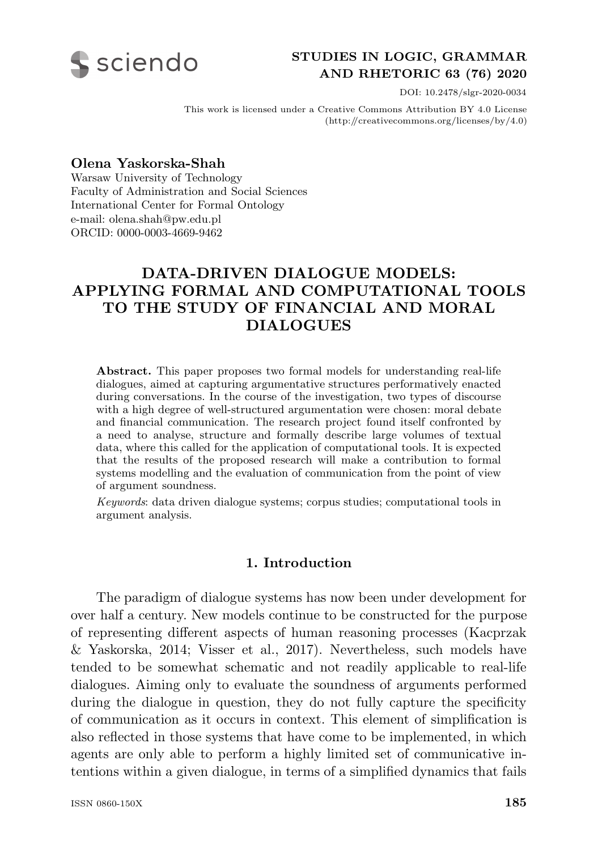

## **STUDIES IN LOGIC, GRAMMAR AND RHETORIC 63 (76) 2020**

DOI: 10.2478/slgr-2020-0034

This work is licensed under a Creative Commons Attribution BY 4.0 License (http://creativecommons.org/licenses/by/4.0)

**Olena Yaskorska-Shah**

Warsaw University of Technology Faculty of Administration and Social Sciences International Center for Formal Ontology e-mail: olena.shah@pw.edu.pl ORCID: 0000-0003-4669-9462

# **DATA-DRIVEN DIALOGUE MODELS: APPLYING FORMAL AND COMPUTATIONAL TOOLS TO THE STUDY OF FINANCIAL AND MORAL DIALOGUES**

**Abstract.** This paper proposes two formal models for understanding real-life dialogues, aimed at capturing argumentative structures performatively enacted during conversations. In the course of the investigation, two types of discourse with a high degree of well-structured argumentation were chosen: moral debate and financial communication. The research project found itself confronted by a need to analyse, structure and formally describe large volumes of textual data, where this called for the application of computational tools. It is expected that the results of the proposed research will make a contribution to formal systems modelling and the evaluation of communication from the point of view of argument soundness.

*Keywords*: data driven dialogue systems; corpus studies; computational tools in argument analysis.

#### **1. Introduction**

The paradigm of dialogue systems has now been under development for over half a century. New models continue to be constructed for the purpose of representing different aspects of human reasoning processes (Kacprzak & Yaskorska, 2014; Visser et al., 2017). Nevertheless, such models have tended to be somewhat schematic and not readily applicable to real-life dialogues. Aiming only to evaluate the soundness of arguments performed during the dialogue in question, they do not fully capture the specificity of communication as it occurs in context. This element of simplification is also reflected in those systems that have come to be implemented, in which agents are only able to perform a highly limited set of communicative intentions within a given dialogue, in terms of a simplified dynamics that fails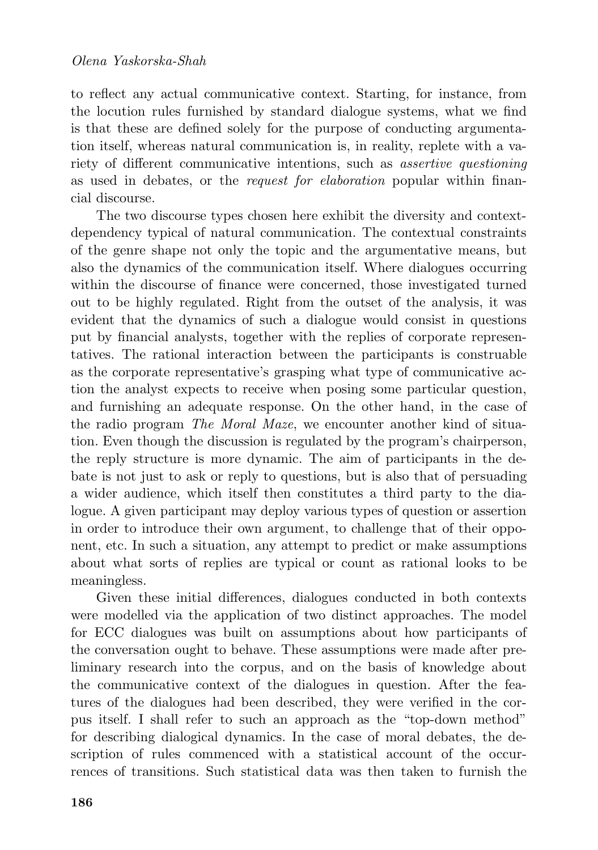to reflect any actual communicative context. Starting, for instance, from the locution rules furnished by standard dialogue systems, what we find is that these are defined solely for the purpose of conducting argumentation itself, whereas natural communication is, in reality, replete with a variety of different communicative intentions, such as *assertive questioning* as used in debates, or the *request for elaboration* popular within financial discourse.

The two discourse types chosen here exhibit the diversity and contextdependency typical of natural communication. The contextual constraints of the genre shape not only the topic and the argumentative means, but also the dynamics of the communication itself. Where dialogues occurring within the discourse of finance were concerned, those investigated turned out to be highly regulated. Right from the outset of the analysis, it was evident that the dynamics of such a dialogue would consist in questions put by financial analysts, together with the replies of corporate representatives. The rational interaction between the participants is construable as the corporate representative's grasping what type of communicative action the analyst expects to receive when posing some particular question, and furnishing an adequate response. On the other hand, in the case of the radio program *The Moral Maze*, we encounter another kind of situation. Even though the discussion is regulated by the program's chairperson, the reply structure is more dynamic. The aim of participants in the debate is not just to ask or reply to questions, but is also that of persuading a wider audience, which itself then constitutes a third party to the dialogue. A given participant may deploy various types of question or assertion in order to introduce their own argument, to challenge that of their opponent, etc. In such a situation, any attempt to predict or make assumptions about what sorts of replies are typical or count as rational looks to be meaningless.

Given these initial differences, dialogues conducted in both contexts were modelled via the application of two distinct approaches. The model for ECC dialogues was built on assumptions about how participants of the conversation ought to behave. These assumptions were made after preliminary research into the corpus, and on the basis of knowledge about the communicative context of the dialogues in question. After the features of the dialogues had been described, they were verified in the corpus itself. I shall refer to such an approach as the "top-down method" for describing dialogical dynamics. In the case of moral debates, the description of rules commenced with a statistical account of the occurrences of transitions. Such statistical data was then taken to furnish the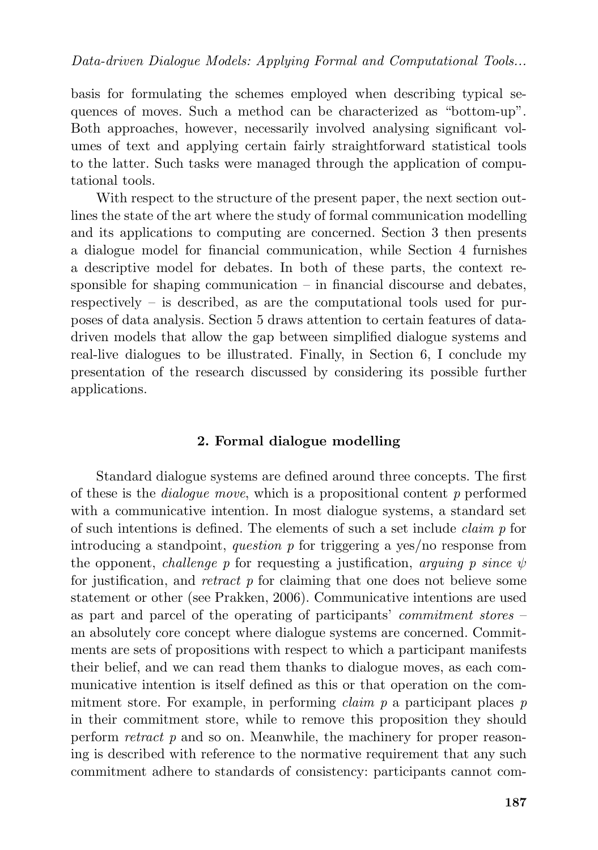basis for formulating the schemes employed when describing typical sequences of moves. Such a method can be characterized as "bottom-up". Both approaches, however, necessarily involved analysing significant volumes of text and applying certain fairly straightforward statistical tools to the latter. Such tasks were managed through the application of computational tools.

With respect to the structure of the present paper, the next section outlines the state of the art where the study of formal communication modelling and its applications to computing are concerned. Section 3 then presents a dialogue model for financial communication, while Section 4 furnishes a descriptive model for debates. In both of these parts, the context responsible for shaping communication  $-$  in financial discourse and debates, respectively – is described, as are the computational tools used for purposes of data analysis. Section 5 draws attention to certain features of datadriven models that allow the gap between simplified dialogue systems and real-live dialogues to be illustrated. Finally, in Section 6, I conclude my presentation of the research discussed by considering its possible further applications.

### **2. Formal dialogue modelling**

Standard dialogue systems are defined around three concepts. The first of these is the *dialogue move*, which is a propositional content *p* performed with a communicative intention. In most dialogue systems, a standard set of such intentions is defined. The elements of such a set include *claim p* for introducing a standpoint, *question p* for triggering a yes/no response from the opponent, *challenge p* for requesting a justification, *arguing p since*  $\psi$ for justification, and *retract p* for claiming that one does not believe some statement or other (see Prakken, 2006). Communicative intentions are used as part and parcel of the operating of participants' *commitment stores* – an absolutely core concept where dialogue systems are concerned. Commitments are sets of propositions with respect to which a participant manifests their belief, and we can read them thanks to dialogue moves, as each communicative intention is itself defined as this or that operation on the commitment store. For example, in performing *claim p* a participant places *p* in their commitment store, while to remove this proposition they should perform *retract p* and so on. Meanwhile, the machinery for proper reasoning is described with reference to the normative requirement that any such commitment adhere to standards of consistency: participants cannot com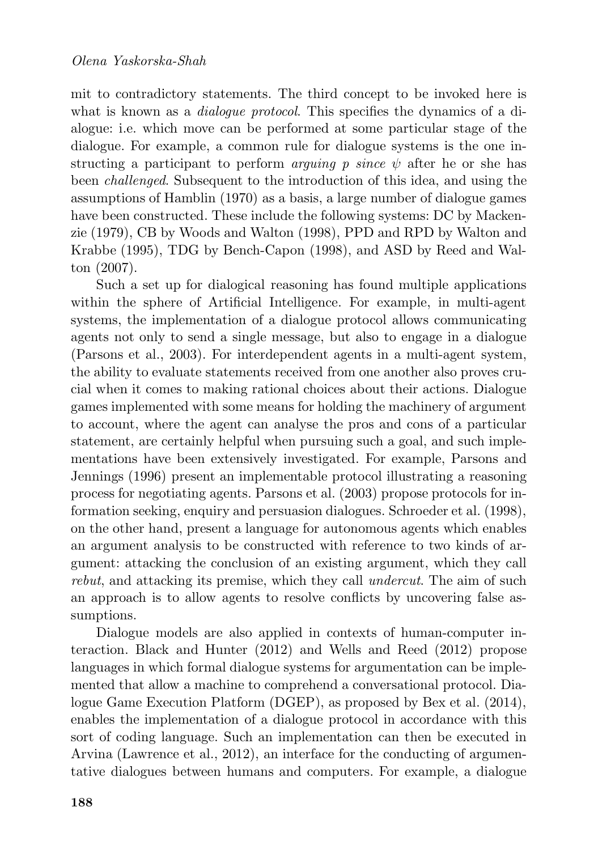mit to contradictory statements. The third concept to be invoked here is what is known as a *dialogue protocol*. This specifies the dynamics of a dialogue: i.e. which move can be performed at some particular stage of the dialogue. For example, a common rule for dialogue systems is the one instructing a participant to perform *arguing p since*  $\psi$  after he or she has been *challenged*. Subsequent to the introduction of this idea, and using the assumptions of Hamblin (1970) as a basis, a large number of dialogue games have been constructed. These include the following systems: DC by Mackenzie (1979), CB by Woods and Walton (1998), PPD and RPD by Walton and Krabbe (1995), TDG by Bench-Capon (1998), and ASD by Reed and Walton (2007).

Such a set up for dialogical reasoning has found multiple applications within the sphere of Artificial Intelligence. For example, in multi-agent systems, the implementation of a dialogue protocol allows communicating agents not only to send a single message, but also to engage in a dialogue (Parsons et al., 2003). For interdependent agents in a multi-agent system, the ability to evaluate statements received from one another also proves crucial when it comes to making rational choices about their actions. Dialogue games implemented with some means for holding the machinery of argument to account, where the agent can analyse the pros and cons of a particular statement, are certainly helpful when pursuing such a goal, and such implementations have been extensively investigated. For example, Parsons and Jennings (1996) present an implementable protocol illustrating a reasoning process for negotiating agents. Parsons et al. (2003) propose protocols for information seeking, enquiry and persuasion dialogues. Schroeder et al. (1998), on the other hand, present a language for autonomous agents which enables an argument analysis to be constructed with reference to two kinds of argument: attacking the conclusion of an existing argument, which they call *rebut*, and attacking its premise, which they call *undercut*. The aim of such an approach is to allow agents to resolve conflicts by uncovering false assumptions.

Dialogue models are also applied in contexts of human-computer interaction. Black and Hunter (2012) and Wells and Reed (2012) propose languages in which formal dialogue systems for argumentation can be implemented that allow a machine to comprehend a conversational protocol. Dialogue Game Execution Platform (DGEP), as proposed by Bex et al. (2014), enables the implementation of a dialogue protocol in accordance with this sort of coding language. Such an implementation can then be executed in Arvina (Lawrence et al., 2012), an interface for the conducting of argumentative dialogues between humans and computers. For example, a dialogue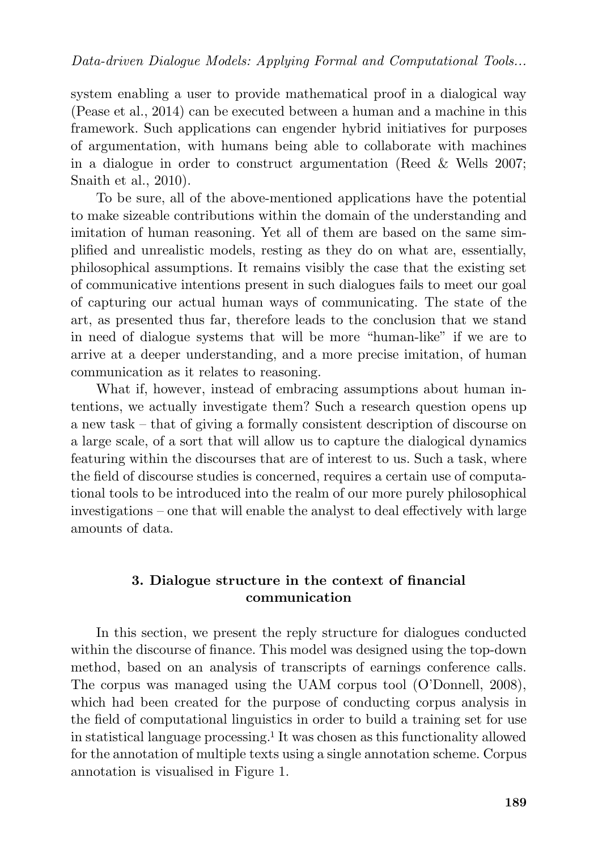system enabling a user to provide mathematical proof in a dialogical way (Pease et al., 2014) can be executed between a human and a machine in this framework. Such applications can engender hybrid initiatives for purposes of argumentation, with humans being able to collaborate with machines in a dialogue in order to construct argumentation (Reed & Wells 2007; Snaith et al., 2010).

To be sure, all of the above-mentioned applications have the potential to make sizeable contributions within the domain of the understanding and imitation of human reasoning. Yet all of them are based on the same simplified and unrealistic models, resting as they do on what are, essentially, philosophical assumptions. It remains visibly the case that the existing set of communicative intentions present in such dialogues fails to meet our goal of capturing our actual human ways of communicating. The state of the art, as presented thus far, therefore leads to the conclusion that we stand in need of dialogue systems that will be more "human-like" if we are to arrive at a deeper understanding, and a more precise imitation, of human communication as it relates to reasoning.

What if, however, instead of embracing assumptions about human intentions, we actually investigate them? Such a research question opens up a new task – that of giving a formally consistent description of discourse on a large scale, of a sort that will allow us to capture the dialogical dynamics featuring within the discourses that are of interest to us. Such a task, where the field of discourse studies is concerned, requires a certain use of computational tools to be introduced into the realm of our more purely philosophical investigations – one that will enable the analyst to deal effectively with large amounts of data.

## **3. Dialogue structure in the context of financial communication**

In this section, we present the reply structure for dialogues conducted within the discourse of finance. This model was designed using the top-down method, based on an analysis of transcripts of earnings conference calls. The corpus was managed using the UAM corpus tool (O'Donnell, 2008), which had been created for the purpose of conducting corpus analysis in the field of computational linguistics in order to build a training set for use in statistical language processing.<sup>1</sup> It was chosen as this functionality allowed for the annotation of multiple texts using a single annotation scheme. Corpus annotation is visualised in Figure 1.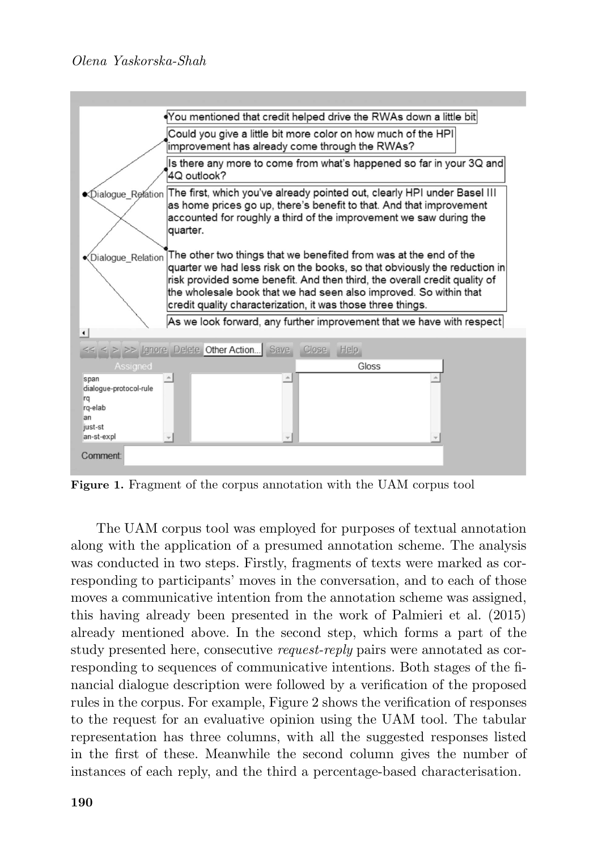## *Olena Yaskorska-Shah*



**Figure 1.** Fragment of the corpus annotation with the UAM corpus tool

The UAM corpus tool was employed for purposes of textual annotation along with the application of a presumed annotation scheme. The analysis was conducted in two steps. Firstly, fragments of texts were marked as corresponding to participants' moves in the conversation, and to each of those moves a communicative intention from the annotation scheme was assigned, this having already been presented in the work of Palmieri et al. (2015) already mentioned above. In the second step, which forms a part of the study presented here, consecutive *request-reply* pairs were annotated as corresponding to sequences of communicative intentions. Both stages of the financial dialogue description were followed by a verification of the proposed rules in the corpus. For example, Figure 2 shows the verification of responses to the request for an evaluative opinion using the UAM tool. The tabular representation has three columns, with all the suggested responses listed in the first of these. Meanwhile the second column gives the number of instances of each reply, and the third a percentage-based characterisation.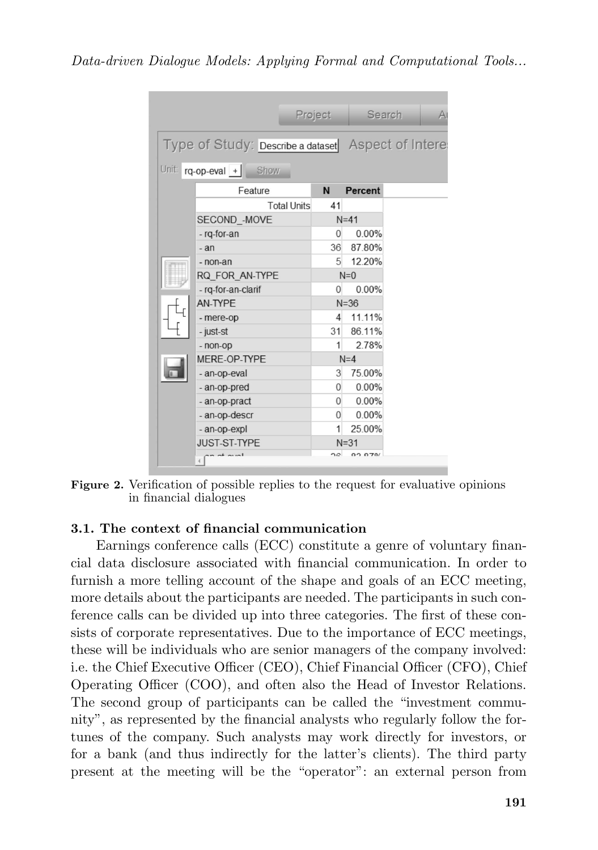|  |                                                                               | Project        |          | Search |  |
|--|-------------------------------------------------------------------------------|----------------|----------|--------|--|
|  | Type of Study: Describe a dataset Aspect of Intere<br>Unit: rq-op-eval + Show |                |          |        |  |
|  | Feature                                                                       | N              | Percent  |        |  |
|  | <b>Total Units</b>                                                            | 41             |          |        |  |
|  | SECOND -MOVE                                                                  |                | $N=41$   |        |  |
|  | - rg-for-an                                                                   | 0              | $0.00\%$ |        |  |
|  | $-an$                                                                         | 36             | 87.80%   |        |  |
|  | - non-an                                                                      | 5              | 12.20%   |        |  |
|  | RQ FOR AN-TYPE                                                                |                | $N=0$    |        |  |
|  | - rq-for-an-clarif                                                            | 0              | 0.00%    |        |  |
|  | AN-TYPE                                                                       |                | $N = 36$ |        |  |
|  | - mere-op                                                                     | $\overline{4}$ | 11.11%   |        |  |
|  | - just-st                                                                     | 31             | 86.11%   |        |  |
|  | - non-op                                                                      | 1              | 2.78%    |        |  |
|  | MERE-OP-TYPE                                                                  |                | $N=4$    |        |  |
|  | - an-op-eval                                                                  | 3              | 75.00%   |        |  |
|  | - an-op-pred                                                                  | 0              | $0.00\%$ |        |  |
|  | - an-op-pract                                                                 | $\overline{0}$ | $0.00\%$ |        |  |
|  | - an-op-descr                                                                 | $\Omega$       | 0.00%    |        |  |
|  | - an-op-expl                                                                  | 1              | 25.00%   |        |  |
|  | <b>JUST-ST-TYPE</b>                                                           |                | $N = 31$ |        |  |
|  | $m + m$                                                                       | $\sim$         | 00.070/  |        |  |

**Figure 2.** Verification of possible replies to the request for evaluative opinions in financial dialogues

## **3.1. The context of financial communication**

Earnings conference calls (ECC) constitute a genre of voluntary financial data disclosure associated with financial communication. In order to furnish a more telling account of the shape and goals of an ECC meeting, more details about the participants are needed. The participants in such conference calls can be divided up into three categories. The first of these consists of corporate representatives. Due to the importance of ECC meetings, these will be individuals who are senior managers of the company involved: i.e. the Chief Executive Officer (CEO), Chief Financial Officer (CFO), Chief Operating Officer (COO), and often also the Head of Investor Relations. The second group of participants can be called the "investment community", as represented by the financial analysts who regularly follow the fortunes of the company. Such analysts may work directly for investors, or for a bank (and thus indirectly for the latter's clients). The third party present at the meeting will be the "operator": an external person from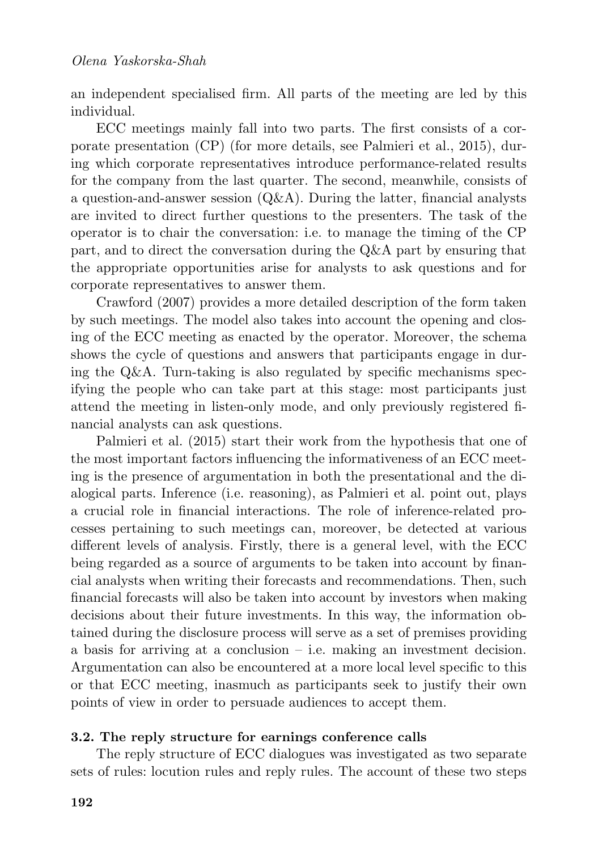an independent specialised firm. All parts of the meeting are led by this individual.

ECC meetings mainly fall into two parts. The first consists of a corporate presentation (CP) (for more details, see Palmieri et al., 2015), during which corporate representatives introduce performance-related results for the company from the last quarter. The second, meanwhile, consists of a question-and-answer session  $(Q\&A)$ . During the latter, financial analysts are invited to direct further questions to the presenters. The task of the operator is to chair the conversation: i.e. to manage the timing of the CP part, and to direct the conversation during the Q&A part by ensuring that the appropriate opportunities arise for analysts to ask questions and for corporate representatives to answer them.

Crawford (2007) provides a more detailed description of the form taken by such meetings. The model also takes into account the opening and closing of the ECC meeting as enacted by the operator. Moreover, the schema shows the cycle of questions and answers that participants engage in during the Q&A. Turn-taking is also regulated by specific mechanisms specifying the people who can take part at this stage: most participants just attend the meeting in listen-only mode, and only previously registered financial analysts can ask questions.

Palmieri et al. (2015) start their work from the hypothesis that one of the most important factors influencing the informativeness of an ECC meeting is the presence of argumentation in both the presentational and the dialogical parts. Inference (i.e. reasoning), as Palmieri et al. point out, plays a crucial role in financial interactions. The role of inference-related processes pertaining to such meetings can, moreover, be detected at various different levels of analysis. Firstly, there is a general level, with the ECC being regarded as a source of arguments to be taken into account by financial analysts when writing their forecasts and recommendations. Then, such financial forecasts will also be taken into account by investors when making decisions about their future investments. In this way, the information obtained during the disclosure process will serve as a set of premises providing a basis for arriving at a conclusion  $-$  i.e. making an investment decision. Argumentation can also be encountered at a more local level specific to this or that ECC meeting, inasmuch as participants seek to justify their own points of view in order to persuade audiences to accept them.

### **3.2. The reply structure for earnings conference calls**

The reply structure of ECC dialogues was investigated as two separate sets of rules: locution rules and reply rules. The account of these two steps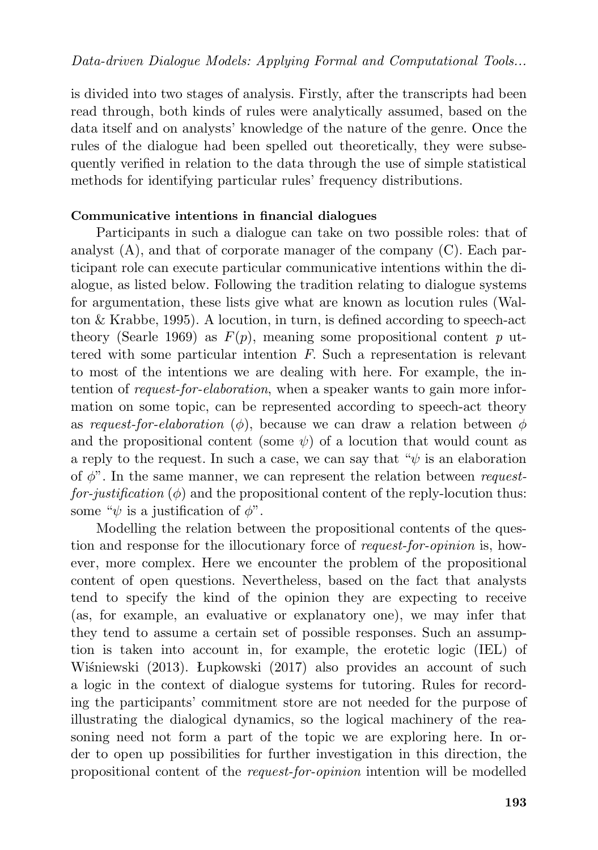is divided into two stages of analysis. Firstly, after the transcripts had been read through, both kinds of rules were analytically assumed, based on the data itself and on analysts' knowledge of the nature of the genre. Once the rules of the dialogue had been spelled out theoretically, they were subsequently verified in relation to the data through the use of simple statistical methods for identifying particular rules' frequency distributions.

### **Communicative intentions in financial dialogues**

Participants in such a dialogue can take on two possible roles: that of analyst  $(A)$ , and that of corporate manager of the company  $(C)$ . Each participant role can execute particular communicative intentions within the dialogue, as listed below. Following the tradition relating to dialogue systems for argumentation, these lists give what are known as locution rules (Walton & Krabbe, 1995). A locution, in turn, is defined according to speech-act theory (Searle 1969) as  $F(p)$ , meaning some propositional content p uttered with some particular intention *F*. Such a representation is relevant to most of the intentions we are dealing with here. For example, the intention of *request-for-elaboration*, when a speaker wants to gain more information on some topic, can be represented according to speech-act theory as *request-for-elaboration* ( $\phi$ ), because we can draw a relation between  $\phi$ and the propositional content (some  $\psi$ ) of a locution that would count as a reply to the request. In such a case, we can say that " $\psi$  is an elaboration of φ". In the same manner, we can represent the relation between *request* $for-justification (\phi)$  and the propositional content of the reply-locution thus: some " $\psi$  is a justification of  $\phi$ ".

Modelling the relation between the propositional contents of the question and response for the illocutionary force of *request-for-opinion* is, however, more complex. Here we encounter the problem of the propositional content of open questions. Nevertheless, based on the fact that analysts tend to specify the kind of the opinion they are expecting to receive (as, for example, an evaluative or explanatory one), we may infer that they tend to assume a certain set of possible responses. Such an assumption is taken into account in, for example, the erotetic logic (IEL) of Wiśniewski (2013). Łupkowski (2017) also provides an account of such a logic in the context of dialogue systems for tutoring. Rules for recording the participants' commitment store are not needed for the purpose of illustrating the dialogical dynamics, so the logical machinery of the reasoning need not form a part of the topic we are exploring here. In order to open up possibilities for further investigation in this direction, the propositional content of the *request-for-opinion* intention will be modelled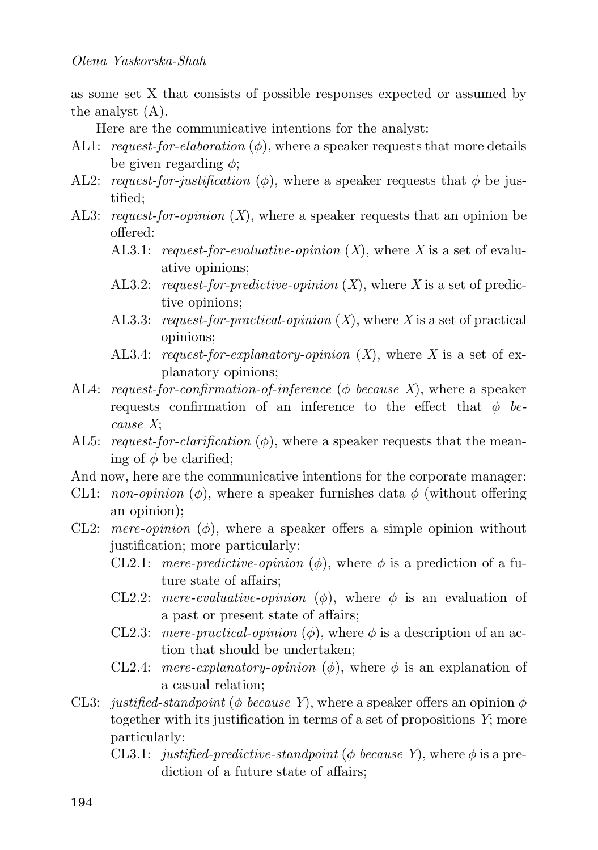as some set X that consists of possible responses expected or assumed by the analyst (A).

Here are the communicative intentions for the analyst:

- AL1: *request-for-elaboration*  $(\phi)$ , where a speaker requests that more details be given regarding  $\phi$ ;
- AL2: *request-for-justification* ( $\phi$ ), where a speaker requests that  $\phi$  be justified;
- AL3: *request-for-opinion* (*X*), where a speaker requests that an opinion be offered:
	- AL3.1: *request-for-evaluative-opinion* (*X*), where *X* is a set of evaluative opinions;
	- AL3.2: *request-for-predictive-opinion* (*X*), where *X* is a set of predictive opinions;
	- AL3.3: *request-for-practical-opinion* (*X*), where *X* is a set of practical opinions;
	- AL3.4: *request-for-explanatory-opinion* (*X*), where *X* is a set of explanatory opinions;
- AL4: *request-for-confirmation-of-inference* (φ *because X*), where a speaker requests confirmation of an inference to the effect that  $\phi$  *because X*;
- AL5: *request-for-clarification*  $(\phi)$ , where a speaker requests that the meaning of  $\phi$  be clarified;
- And now, here are the communicative intentions for the corporate manager:
- CL1: *non-opinion* ( $\phi$ ), where a speaker furnishes data  $\phi$  (without offering an opinion);
- CL2: *mere-opinion*  $(\phi)$ , where a speaker offers a simple opinion without justification; more particularly:
	- CL2.1: *mere-predictive-opinion*  $(\phi)$ , where  $\phi$  is a prediction of a future state of affairs;
	- CL2.2: *mere-evaluative-opinion* ( $\phi$ ), where  $\phi$  is an evaluation of a past or present state of affairs;
	- CL2.3: *mere-practical-opinion*  $(\phi)$ , where  $\phi$  is a description of an action that should be undertaken;
	- CL2.4: *mere-explanatory-opinion*  $(\phi)$ , where  $\phi$  is an explanation of a casual relation;
- CL3: *justified-standpoint* ( $\phi$  *because Y*), where a speaker offers an opinion  $\phi$ together with its justification in terms of a set of propositions *Y*; more particularly:
	- CL3.1: *justified-predictive-standpoint* ( $\phi$  *because Y*), where  $\phi$  is a prediction of a future state of affairs;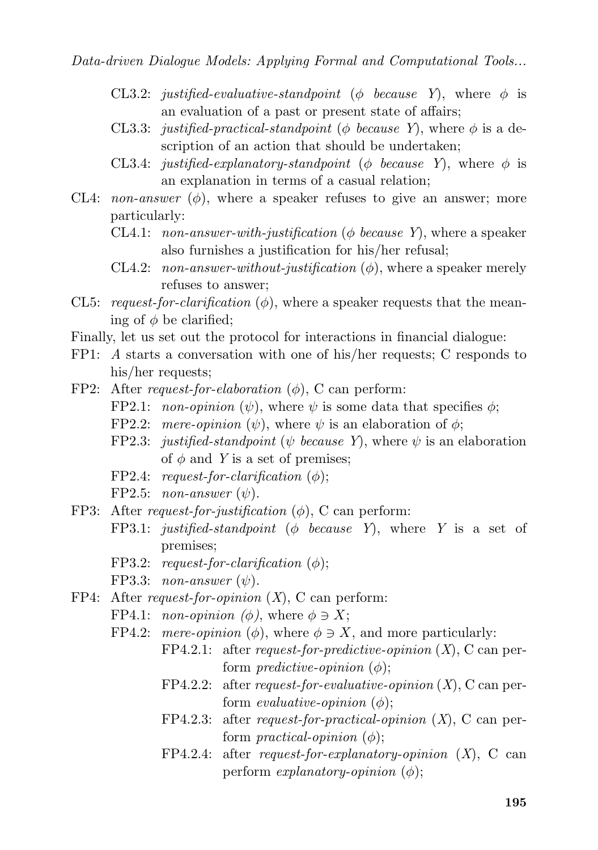- CL3.2: *justified-evaluative-standpoint* ( $\phi$  *because* Y), where  $\phi$  is an evaluation of a past or present state of affairs;
- CL3.3: *justified-practical-standpoint* ( $\phi$  *because* Y), where  $\phi$  is a description of an action that should be undertaken;
- CL3.4: *justified-explanatory-standpoint* ( $\phi$  *because* Y), where  $\phi$  is an explanation in terms of a casual relation;
- CL4: *non-answer*  $(\phi)$ , where a speaker refuses to give an answer; more particularly:
	- CL4.1: *non-answer-with-justification* ( $\phi$  *because Y*), where a speaker also furnishes a justification for his/her refusal;
	- CL4.2: *non-answer-without-justification*  $(\phi)$ , where a speaker merely refuses to answer;
- CL5: *request-for-clarification*  $(\phi)$ , where a speaker requests that the meaning of  $\phi$  be clarified;
- Finally, let us set out the protocol for interactions in financial dialogue:
- FP1: *A* starts a conversation with one of his/her requests; C responds to his/her requests;
- FP2: After *request-for-elaboration* (φ), C can perform:
	- FP2.1: *non-opinion*  $(\psi)$ , where  $\psi$  is some data that specifies  $\phi$ ;
	- FP2.2: *mere-opinion*  $(\psi)$ , where  $\psi$  is an elaboration of  $\phi$ ;
	- FP2.3: *justified-standpoint* ( $\psi$  *because Y*), where  $\psi$  is an elaboration of  $\phi$  and *Y* is a set of premises;
	- FP2.4: *request-for-clarification*  $(\phi)$ ;
	- FP2.5: *non-answer*  $(\psi)$ .
- FP3: After *request-for-justification* (φ), C can perform:
	- FP3.1: *justified-standpoint* (φ *because Y*), where *Y* is a set of premises;
	- FP3.2: *request-for-clarification*  $(\phi)$ ;
	- FP3.3: *non-answer*  $(\psi)$ .
- FP4: After *request-for-opinion* (*X*), C can perform:
	- FP4.1: *non-opinion* ( $\phi$ ), where  $\phi \ni X$ ;
	- FP4.2: *mere-opinion*  $(\phi)$ , where  $\phi \ni X$ , and more particularly:
		- FP4.2.1: after *request-for-predictive-opinion* (*X*), C can perform *predictive-opinion*  $(\phi)$ ;
		- FP4.2.2: after *request-for-evaluative-opinion* (*X*), C can perform *evaluative-opinion*  $(\phi)$ ;
		- FP4.2.3: after *request-for-practical-opinion* (*X*), C can perform *practical-opinion*  $(\phi)$ ;
		- FP4.2.4: after *request-for-explanatory-opinion* (*X*), C can perform *explanatory-opinion* (φ);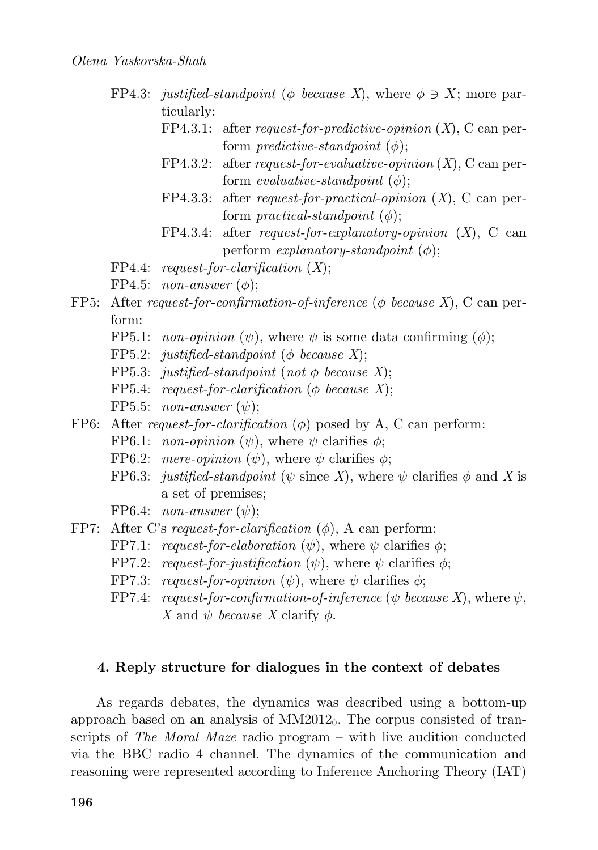- FP4.3: *justified-standpoint* ( $\phi$  *because X*), where  $\phi \ni X$ ; more particularly:
	- FP4.3.1: after *request-for-predictive-opinion* (*X*), C can perform *predictive-standpoint*  $(\phi)$ ;
	- FP4.3.2: after *request-for-evaluative-opinion* (*X*), C can perform *evaluative-standpoint*  $(\phi)$ ;
	- FP4.3.3: after *request-for-practical-opinion* (*X*), C can perform *practical-standpoint*  $(\phi)$ ;
	- FP4.3.4: after *request-for-explanatory-opinion* (*X*), C can perform *explanatory-standpoint*  $(\phi)$ ;
- FP4.4: *request-for-clarification* (*X*);
- FP4.5: *non-answer*  $(\phi)$ ;
- FP5: After *request-for-confirmation-of-inference* (φ *because X*), C can perform:
	- FP5.1: *non-opinion*  $(\psi)$ , where  $\psi$  is some data confirming  $(\phi)$ ;
	- FP5.2: *justified-standpoint* ( $\phi$  *because X*);
	- FP5.3: *justified-standpoint* (*not*  $\phi$  *because X*);
	- FP5.4: *request-for-clarification* (φ *because X*);
	- FP5.5: *non-answer*  $(\psi)$ ;
- FP6: After *request-for-clarification* (φ) posed by A, C can perform:
	- FP6.1: *non-opinion*  $(\psi)$ , where  $\psi$  clarifies  $\phi$ ;
	- FP6.2: *mere-opinion*  $(\psi)$ , where  $\psi$  clarifies  $\phi$ ;
	- FP6.3: *justified-standpoint* ( $\psi$  since X), where  $\psi$  clarifies  $\phi$  and X is a set of premises;
	- FP6.4: *non-answer*  $(\psi)$ :
- FP7: After C's *request-for-clarification* (φ), A can perform:
	- FP7.1: *request-for-elaboration*  $(\psi)$ , where  $\psi$  clarifies  $\phi$ ;
	- FP7.2: *request-for-justification*  $(\psi)$ , where  $\psi$  clarifies  $\phi$ ;
	- FP7.3: *request-for-opinion*  $(\psi)$ , where  $\psi$  clarifies  $\phi$ ;
	- FP7.4: *request-for-confirmation-of-inference* ( $\psi$  *because X*), where  $\psi$ , *X* and  $\psi$  *because X* clarify  $\phi$ .

### **4. Reply structure for dialogues in the context of debates**

As regards debates, the dynamics was described using a bottom-up approach based on an analysis of  $MM2012<sub>0</sub>$ . The corpus consisted of transcripts of *The Moral Maze* radio program – with live audition conducted via the BBC radio 4 channel. The dynamics of the communication and reasoning were represented according to Inference Anchoring Theory (IAT)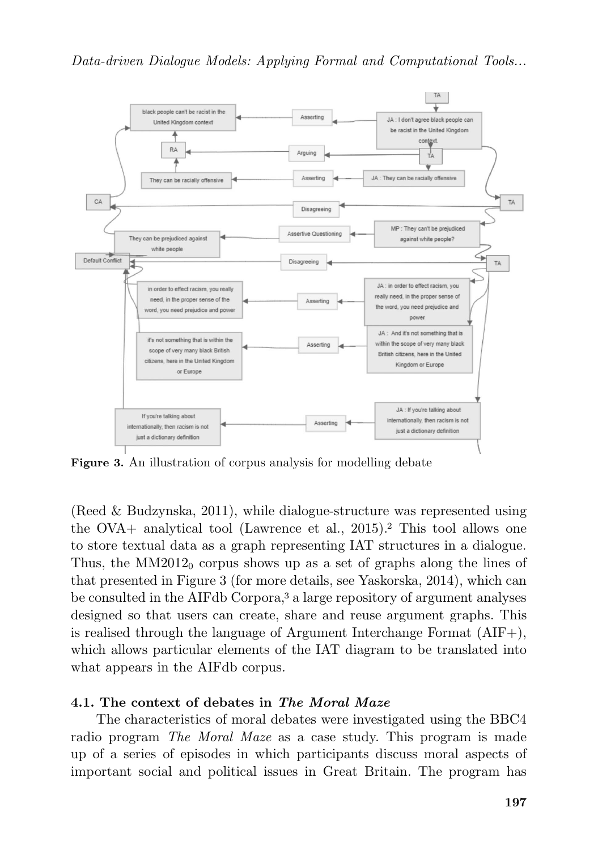

**Figure 3.** An illustration of corpus analysis for modelling debate

(Reed & Budzynska, 2011), while dialogue-structure was represented using the OVA+ analytical tool (Lawrence et al., 2015).<sup>2</sup> This tool allows one to store textual data as a graph representing IAT structures in a dialogue. Thus, the  $MM2012_0$  corpus shows up as a set of graphs along the lines of that presented in Figure 3 (for more details, see Yaskorska, 2014), which can be consulted in the AIFdb Corpora,<sup>3</sup> a large repository of argument analyses designed so that users can create, share and reuse argument graphs. This is realised through the language of Argument Interchange Format (AIF+), which allows particular elements of the IAT diagram to be translated into what appears in the AIFdb corpus.

## **4.1. The context of debates in** *The Moral Maze*

The characteristics of moral debates were investigated using the BBC4 radio program *The Moral Maze* as a case study. This program is made up of a series of episodes in which participants discuss moral aspects of important social and political issues in Great Britain. The program has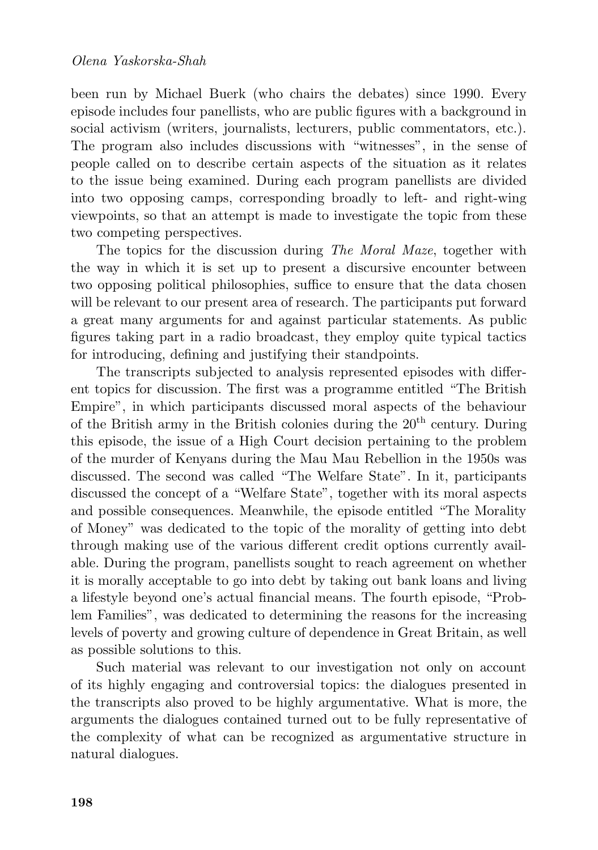been run by Michael Buerk (who chairs the debates) since 1990. Every episode includes four panellists, who are public figures with a background in social activism (writers, journalists, lecturers, public commentators, etc.). The program also includes discussions with "witnesses", in the sense of people called on to describe certain aspects of the situation as it relates to the issue being examined. During each program panellists are divided into two opposing camps, corresponding broadly to left- and right-wing viewpoints, so that an attempt is made to investigate the topic from these two competing perspectives.

The topics for the discussion during *The Moral Maze*, together with the way in which it is set up to present a discursive encounter between two opposing political philosophies, suffice to ensure that the data chosen will be relevant to our present area of research. The participants put forward a great many arguments for and against particular statements. As public figures taking part in a radio broadcast, they employ quite typical tactics for introducing, defining and justifying their standpoints.

The transcripts subjected to analysis represented episodes with different topics for discussion. The first was a programme entitled "The British Empire", in which participants discussed moral aspects of the behaviour of the British army in the British colonies during the  $20<sup>th</sup>$  century. During this episode, the issue of a High Court decision pertaining to the problem of the murder of Kenyans during the Mau Mau Rebellion in the 1950s was discussed. The second was called "The Welfare State". In it, participants discussed the concept of a "Welfare State", together with its moral aspects and possible consequences. Meanwhile, the episode entitled "The Morality of Money" was dedicated to the topic of the morality of getting into debt through making use of the various different credit options currently available. During the program, panellists sought to reach agreement on whether it is morally acceptable to go into debt by taking out bank loans and living a lifestyle beyond one's actual financial means. The fourth episode, "Problem Families", was dedicated to determining the reasons for the increasing levels of poverty and growing culture of dependence in Great Britain, as well as possible solutions to this.

Such material was relevant to our investigation not only on account of its highly engaging and controversial topics: the dialogues presented in the transcripts also proved to be highly argumentative. What is more, the arguments the dialogues contained turned out to be fully representative of the complexity of what can be recognized as argumentative structure in natural dialogues.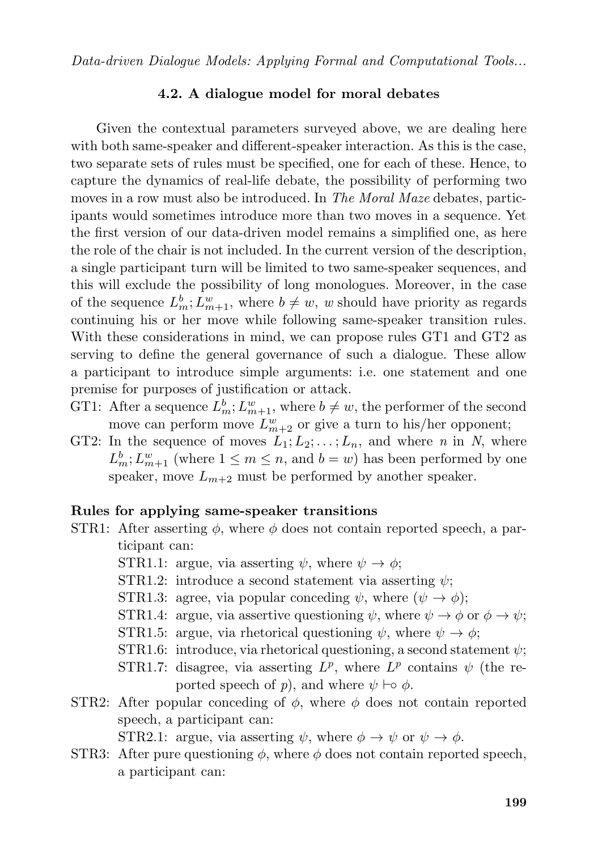#### **4.2. A dialogue model for moral debates**

Given the contextual parameters surveyed above, we are dealing here with both same-speaker and different-speaker interaction. As this is the case, two separate sets of rules must be specified, one for each of these. Hence, to capture the dynamics of real-life debate, the possibility of performing two moves in a row must also be introduced. In *The Moral Maze* debates, participants would sometimes introduce more than two moves in a sequence. Yet the first version of our data-driven model remains a simplified one, as here the role of the chair is not included. In the current version of the description, a single participant turn will be limited to two same-speaker sequences, and this will exclude the possibility of long monologues. Moreover, in the case of the sequence  $L_m^b$ ;  $L_{m+1}^w$ , where  $b \neq w$ , w should have priority as regards continuing his or her move while following same-speaker transition rules. With these considerations in mind, we can propose rules GT1 and GT2 as serving to define the general governance of such a dialogue. These allow a participant to introduce simple arguments: i.e. one statement and one premise for purposes of justification or attack.

- GT1: After a sequence  $L_m^b$ ;  $L_{m+1}^w$ , where  $b \neq w$ , the performer of the second move can perform move  $L_{m+2}^w$  or give a turn to his/her opponent;
- GT2: In the sequence of moves  $L_1; L_2; \ldots; L_n$ , and where *n* in *N*, where  $L_m^b$ ;  $L_{m+1}^w$  (where  $1 \leq m \leq n$ , and  $b = w$ ) has been performed by one speaker, move  $L_{m+2}$  must be performed by another speaker.

#### **Rules for applying same-speaker transitions**

- STR1: After asserting  $\phi$ , where  $\phi$  does not contain reported speech, a participant can:
	- STR1.1: argue, via asserting  $\psi$ , where  $\psi \to \phi$ ;
	- STR1.2: introduce a second statement via asserting  $\psi$ ;
	- STR1.3: agree, via popular conceding  $\psi$ , where  $(\psi \rightarrow \phi)$ ;
	- STR1.4: argue, via assertive questioning  $\psi$ , where  $\psi \to \phi$  or  $\phi \to \psi$ ;
	- STR1.5: argue, via rhetorical questioning  $\psi$ , where  $\psi \to \phi$ ;
	- STR1.6: introduce, via rhetorical questioning, a second statement  $\psi$ ;
	- STR1.7: disagree, via asserting  $L^p$ , where  $L^p$  contains  $\psi$  (the reported speech of *p*), and where  $\psi \vdash \circ \phi$ .
- STR2: After popular conceding of  $\phi$ , where  $\phi$  does not contain reported speech, a participant can:

STR2.1: argue, via asserting  $\psi$ , where  $\phi \to \psi$  or  $\psi \to \phi$ .

STR3: After pure questioning  $\phi$ , where  $\phi$  does not contain reported speech, a participant can: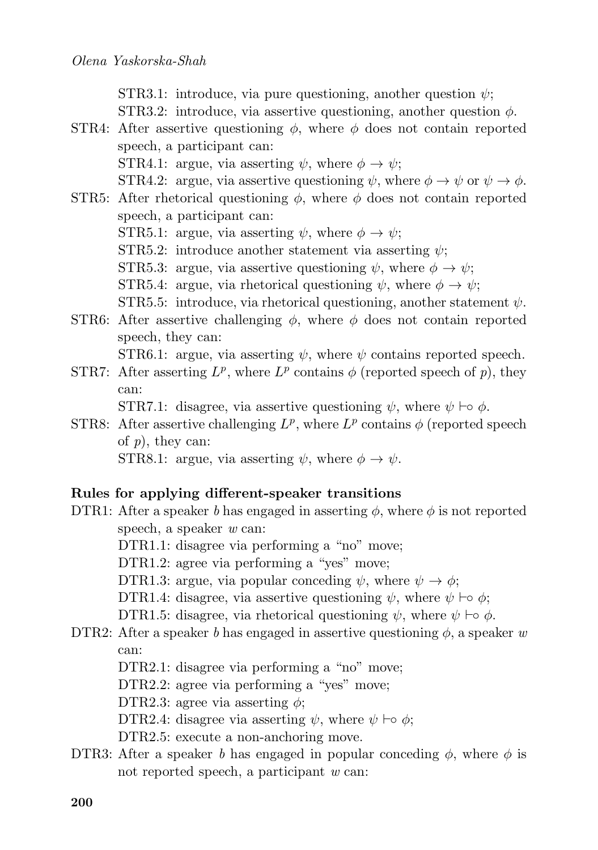STR3.1: introduce, via pure questioning, another question  $\psi$ ; STR3.2: introduce, via assertive questioning, another question  $\phi$ .

- STR4: After assertive questioning  $\phi$ , where  $\phi$  does not contain reported speech, a participant can: STR4.1: argue, via asserting  $\psi$ , where  $\phi \to \psi$ ; STR4.2: argue, via assertive questioning  $\psi$ , where  $\phi \to \psi$  or  $\psi \to \phi$ .
- STR5: After rhetorical questioning  $\phi$ , where  $\phi$  does not contain reported speech, a participant can: STR5.1: argue, via asserting  $\psi$ , where  $\phi \to \psi$ ; STR5.2: introduce another statement via asserting  $\psi$ ; STR5.3: argue, via assertive questioning  $\psi$ , where  $\phi \to \psi$ ; STR5.4: argue, via rhetorical questioning  $\psi$ , where  $\phi \to \psi$ ; STR5.5: introduce, via rhetorical questioning, another statement  $\psi$ .
- STR6: After assertive challenging  $\phi$ , where  $\phi$  does not contain reported speech, they can:

STR6.1: argue, via asserting  $\psi$ , where  $\psi$  contains reported speech.

STR7: After asserting  $L^p$ , where  $L^p$  contains  $\phi$  (reported speech of p), they can:

STR7.1: disagree, via assertive questioning  $\psi$ , where  $\psi \vdash o \phi$ .

STR8: After assertive challenging  $L^p$ , where  $L^p$  contains  $\phi$  (reported speech of *p*), they can:

STR8.1: argue, via asserting  $\psi$ , where  $\phi \to \psi$ .

## **Rules for applying different-speaker transitions**

- DTR1: After a speaker *b* has engaged in asserting  $\phi$ , where  $\phi$  is not reported speech, a speaker *w* can:
	- DTR1.1: disagree via performing a "no" move;
	- DTR1.2: agree via performing a "yes" move;
	- DTR1.3: argue, via popular conceding  $\psi$ , where  $\psi \to \phi$ ;
	- DTR1.4: disagree, via assertive questioning  $\psi$ , where  $\psi \vdash o \phi$ ;
	- DTR1.5: disagree, via rhetorical questioning  $\psi$ , where  $\psi \vdash o \phi$ .
- DTR2: After a speaker *b* has engaged in assertive questioning  $\phi$ , a speaker *w* can:
	- DTR2.1: disagree via performing a "no" move;
	- DTR2.2: agree via performing a "yes" move;
	- DTR2.3: agree via asserting  $\phi$ ;
	- DTR2.4: disagree via asserting  $\psi$ , where  $\psi \vdash o \phi$ ;
	- DTR2.5: execute a non-anchoring move.
- DTR3: After a speaker *b* has engaged in popular conceding  $\phi$ , where  $\phi$  is not reported speech, a participant *w* can: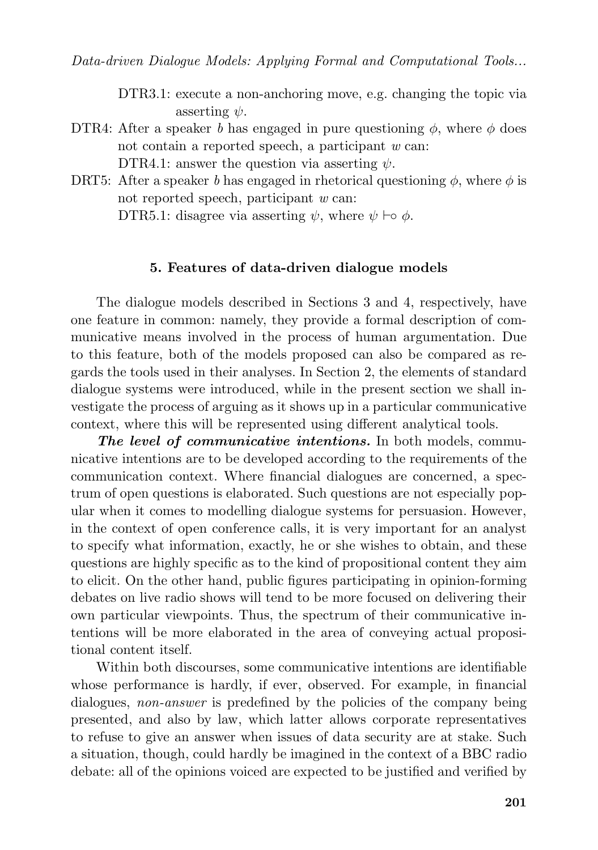DTR3.1: execute a non-anchoring move, e.g. changing the topic via asserting  $\psi$ .

- DTR4: After a speaker *b* has engaged in pure questioning  $\phi$ , where  $\phi$  does not contain a reported speech, a participant *w* can: DTR4.1: answer the question via asserting  $\psi$ .
- DRT5: After a speaker *b* has engaged in rhetorical questioning  $\phi$ , where  $\phi$  is not reported speech, participant *w* can: DTR5.1: disagree via asserting  $\psi$ , where  $\psi \vdash o \phi$ .

### **5. Features of data-driven dialogue models**

The dialogue models described in Sections 3 and 4, respectively, have one feature in common: namely, they provide a formal description of communicative means involved in the process of human argumentation. Due to this feature, both of the models proposed can also be compared as regards the tools used in their analyses. In Section 2, the elements of standard dialogue systems were introduced, while in the present section we shall investigate the process of arguing as it shows up in a particular communicative context, where this will be represented using different analytical tools.

*The level of communicative intentions.* In both models, communicative intentions are to be developed according to the requirements of the communication context. Where financial dialogues are concerned, a spectrum of open questions is elaborated. Such questions are not especially popular when it comes to modelling dialogue systems for persuasion. However, in the context of open conference calls, it is very important for an analyst to specify what information, exactly, he or she wishes to obtain, and these questions are highly specific as to the kind of propositional content they aim to elicit. On the other hand, public figures participating in opinion-forming debates on live radio shows will tend to be more focused on delivering their own particular viewpoints. Thus, the spectrum of their communicative intentions will be more elaborated in the area of conveying actual propositional content itself.

Within both discourses, some communicative intentions are identifiable whose performance is hardly, if ever, observed. For example, in financial dialogues, *non-answer* is predefined by the policies of the company being presented, and also by law, which latter allows corporate representatives to refuse to give an answer when issues of data security are at stake. Such a situation, though, could hardly be imagined in the context of a BBC radio debate: all of the opinions voiced are expected to be justified and verified by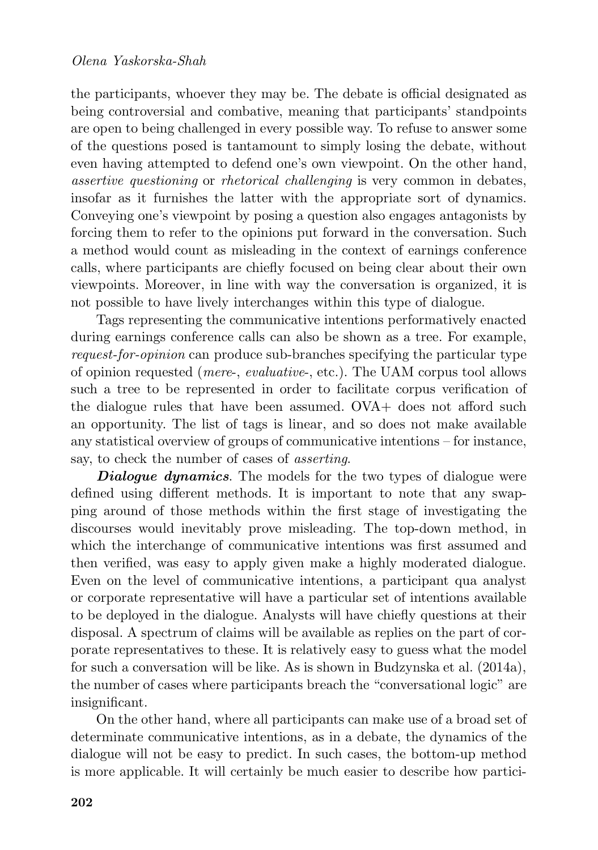the participants, whoever they may be. The debate is official designated as being controversial and combative, meaning that participants' standpoints are open to being challenged in every possible way. To refuse to answer some of the questions posed is tantamount to simply losing the debate, without even having attempted to defend one's own viewpoint. On the other hand, *assertive questioning* or *rhetorical challenging* is very common in debates, insofar as it furnishes the latter with the appropriate sort of dynamics. Conveying one's viewpoint by posing a question also engages antagonists by forcing them to refer to the opinions put forward in the conversation. Such a method would count as misleading in the context of earnings conference calls, where participants are chiefly focused on being clear about their own viewpoints. Moreover, in line with way the conversation is organized, it is not possible to have lively interchanges within this type of dialogue.

Tags representing the communicative intentions performatively enacted during earnings conference calls can also be shown as a tree. For example, *request-for-opinion* can produce sub-branches specifying the particular type of opinion requested (*mere*-, *evaluative*-, etc.). The UAM corpus tool allows such a tree to be represented in order to facilitate corpus verification of the dialogue rules that have been assumed. OVA+ does not afford such an opportunity. The list of tags is linear, and so does not make available any statistical overview of groups of communicative intentions – for instance, say, to check the number of cases of *asserting*.

*Dialogue dynamics*. The models for the two types of dialogue were defined using different methods. It is important to note that any swapping around of those methods within the first stage of investigating the discourses would inevitably prove misleading. The top-down method, in which the interchange of communicative intentions was first assumed and then verified, was easy to apply given make a highly moderated dialogue. Even on the level of communicative intentions, a participant qua analyst or corporate representative will have a particular set of intentions available to be deployed in the dialogue. Analysts will have chiefly questions at their disposal. A spectrum of claims will be available as replies on the part of corporate representatives to these. It is relatively easy to guess what the model for such a conversation will be like. As is shown in Budzynska et al. (2014a), the number of cases where participants breach the "conversational logic" are insignificant.

On the other hand, where all participants can make use of a broad set of determinate communicative intentions, as in a debate, the dynamics of the dialogue will not be easy to predict. In such cases, the bottom-up method is more applicable. It will certainly be much easier to describe how partici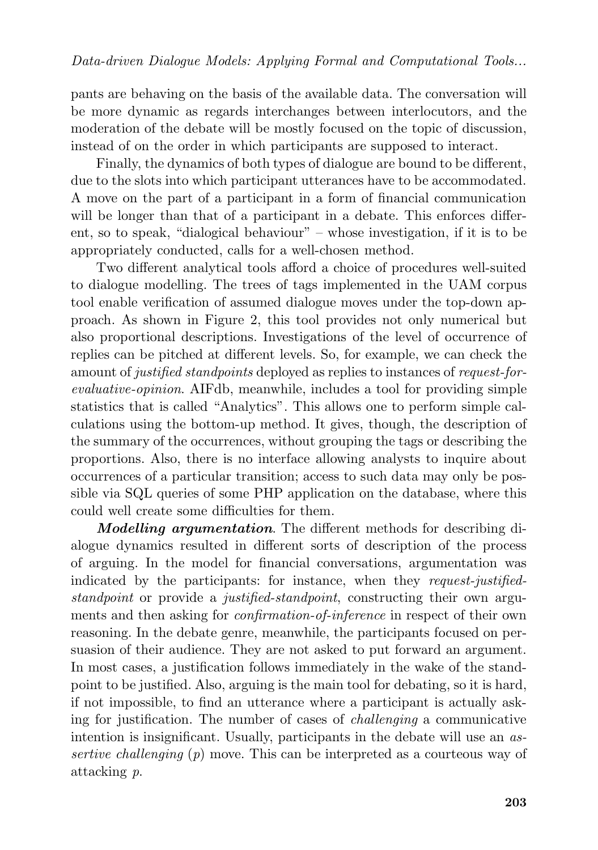pants are behaving on the basis of the available data. The conversation will be more dynamic as regards interchanges between interlocutors, and the moderation of the debate will be mostly focused on the topic of discussion, instead of on the order in which participants are supposed to interact.

Finally, the dynamics of both types of dialogue are bound to be different, due to the slots into which participant utterances have to be accommodated. A move on the part of a participant in a form of financial communication will be longer than that of a participant in a debate. This enforces different, so to speak, "dialogical behaviour" – whose investigation, if it is to be appropriately conducted, calls for a well-chosen method.

Two different analytical tools afford a choice of procedures well-suited to dialogue modelling. The trees of tags implemented in the UAM corpus tool enable verification of assumed dialogue moves under the top-down approach. As shown in Figure 2, this tool provides not only numerical but also proportional descriptions. Investigations of the level of occurrence of replies can be pitched at different levels. So, for example, we can check the amount of *justified standpoints* deployed as replies to instances of *request-forevaluative-opinion*. AIFdb, meanwhile, includes a tool for providing simple statistics that is called "Analytics". This allows one to perform simple calculations using the bottom-up method. It gives, though, the description of the summary of the occurrences, without grouping the tags or describing the proportions. Also, there is no interface allowing analysts to inquire about occurrences of a particular transition; access to such data may only be possible via SQL queries of some PHP application on the database, where this could well create some difficulties for them.

*Modelling argumentation*. The different methods for describing dialogue dynamics resulted in different sorts of description of the process of arguing. In the model for financial conversations, argumentation was indicated by the participants: for instance, when they *request-justifiedstandpoint* or provide a *justified-standpoint*, constructing their own arguments and then asking for *confirmation-of-inference* in respect of their own reasoning. In the debate genre, meanwhile, the participants focused on persuasion of their audience. They are not asked to put forward an argument. In most cases, a justification follows immediately in the wake of the standpoint to be justified. Also, arguing is the main tool for debating, so it is hard, if not impossible, to find an utterance where a participant is actually asking for justification. The number of cases of *challenging* a communicative intention is insignificant. Usually, participants in the debate will use an *assertive challenging* (*p*) move. This can be interpreted as a courteous way of attacking *p*.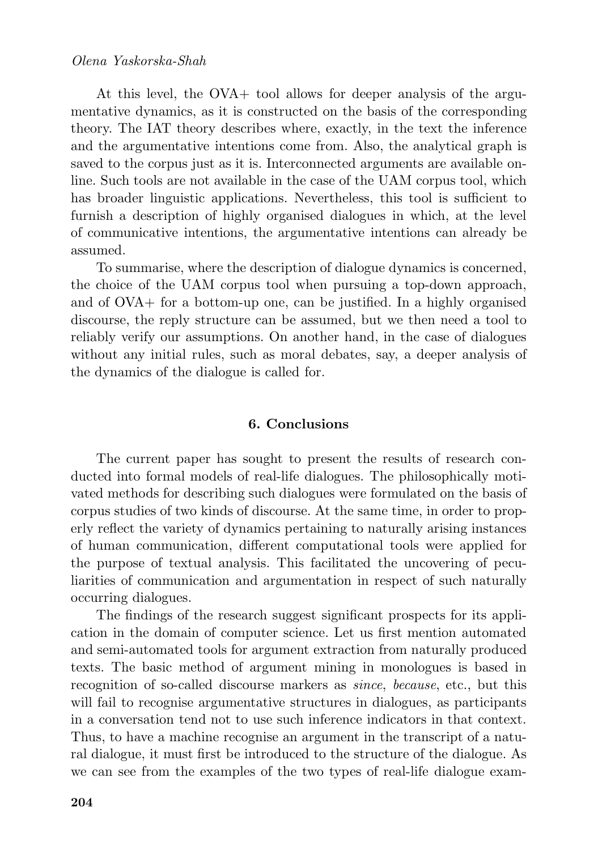### *Olena Yaskorska-Shah*

At this level, the OVA+ tool allows for deeper analysis of the argumentative dynamics, as it is constructed on the basis of the corresponding theory. The IAT theory describes where, exactly, in the text the inference and the argumentative intentions come from. Also, the analytical graph is saved to the corpus just as it is. Interconnected arguments are available online. Such tools are not available in the case of the UAM corpus tool, which has broader linguistic applications. Nevertheless, this tool is sufficient to furnish a description of highly organised dialogues in which, at the level of communicative intentions, the argumentative intentions can already be assumed.

To summarise, where the description of dialogue dynamics is concerned, the choice of the UAM corpus tool when pursuing a top-down approach, and of OVA+ for a bottom-up one, can be justified. In a highly organised discourse, the reply structure can be assumed, but we then need a tool to reliably verify our assumptions. On another hand, in the case of dialogues without any initial rules, such as moral debates, say, a deeper analysis of the dynamics of the dialogue is called for.

#### **6. Conclusions**

The current paper has sought to present the results of research conducted into formal models of real-life dialogues. The philosophically motivated methods for describing such dialogues were formulated on the basis of corpus studies of two kinds of discourse. At the same time, in order to properly reflect the variety of dynamics pertaining to naturally arising instances of human communication, different computational tools were applied for the purpose of textual analysis. This facilitated the uncovering of peculiarities of communication and argumentation in respect of such naturally occurring dialogues.

The findings of the research suggest significant prospects for its application in the domain of computer science. Let us first mention automated and semi-automated tools for argument extraction from naturally produced texts. The basic method of argument mining in monologues is based in recognition of so-called discourse markers as *since*, *because*, etc., but this will fail to recognise argumentative structures in dialogues, as participants in a conversation tend not to use such inference indicators in that context. Thus, to have a machine recognise an argument in the transcript of a natural dialogue, it must first be introduced to the structure of the dialogue. As we can see from the examples of the two types of real-life dialogue exam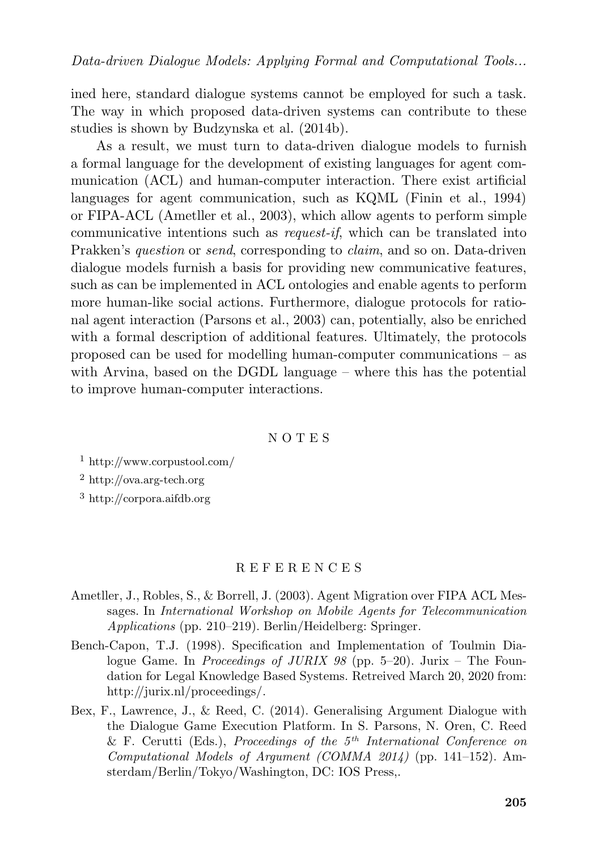ined here, standard dialogue systems cannot be employed for such a task. The way in which proposed data-driven systems can contribute to these studies is shown by Budzynska et al. (2014b).

As a result, we must turn to data-driven dialogue models to furnish a formal language for the development of existing languages for agent communication (ACL) and human-computer interaction. There exist artificial languages for agent communication, such as KQML (Finin et al., 1994) or FIPA-ACL (Ametller et al., 2003), which allow agents to perform simple communicative intentions such as *request-if*, which can be translated into Prakken's *question* or *send*, corresponding to *claim*, and so on. Data-driven dialogue models furnish a basis for providing new communicative features, such as can be implemented in ACL ontologies and enable agents to perform more human-like social actions. Furthermore, dialogue protocols for rational agent interaction (Parsons et al., 2003) can, potentially, also be enriched with a formal description of additional features. Ultimately, the protocols proposed can be used for modelling human-computer communications – as with Arvina, based on the DGDL language – where this has the potential to improve human-computer interactions.

#### N O T E S

<sup>1</sup> http://www.corpustool.com/

<sup>2</sup> http://ova.arg-tech.org

<sup>3</sup> http://corpora.aifdb.org

#### R E F E R E N C E S

- Ametller, J., Robles, S., & Borrell, J. (2003). Agent Migration over FIPA ACL Messages. In *International Workshop on Mobile Agents for Telecommunication Applications* (pp. 210–219). Berlin/Heidelberg: Springer.
- Bench-Capon, T.J. (1998). Specification and Implementation of Toulmin Dialogue Game. In *Proceedings of JURIX 98* (pp. 5–20). Jurix – The Foundation for Legal Knowledge Based Systems. Retreived March 20, 2020 from: http://jurix.nl/proceedings/.
- Bex, F., Lawrence, J., & Reed, C. (2014). Generalising Argument Dialogue with the Dialogue Game Execution Platform. In S. Parsons, N. Oren, C. Reed & F. Cerutti (Eds.), *Proceedings of the 5th International Conference on Computational Models of Argument (COMMA 2014)* (pp. 141–152). Amsterdam/Berlin/Tokyo/Washington, DC: IOS Press,.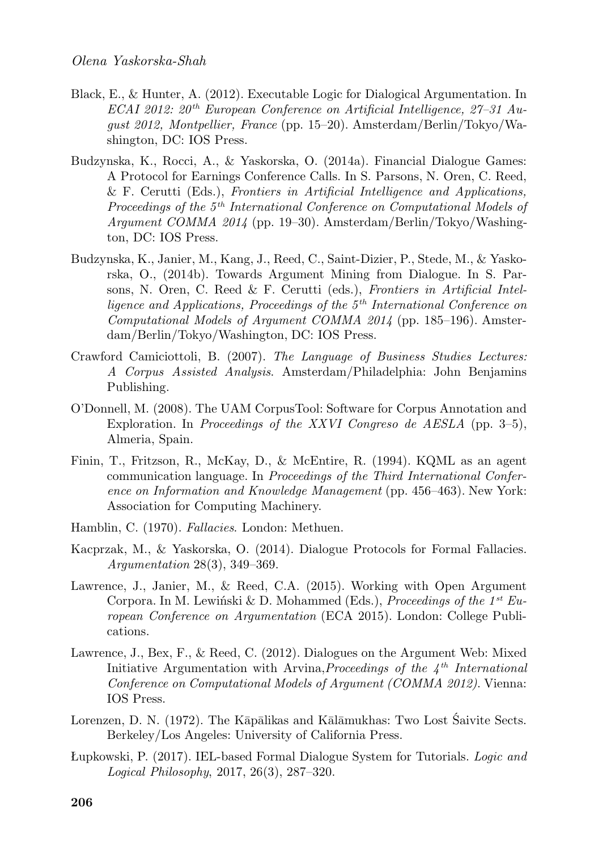- Black, E., & Hunter, A. (2012). Executable Logic for Dialogical Argumentation. In *ECAI 2012: 20th European Conference on Artificial Intelligence, 27–31 August 2012, Montpellier, France* (pp. 15–20). Amsterdam/Berlin/Tokyo/Washington, DC: IOS Press.
- Budzynska, K., Rocci, A., & Yaskorska, O. (2014a). Financial Dialogue Games: A Protocol for Earnings Conference Calls. In S. Parsons, N. Oren, C. Reed, & F. Cerutti (Eds.), *Frontiers in Artificial Intelligence and Applications, Proceedings of the 5th International Conference on Computational Models of Argument COMMA 2014* (pp. 19–30). Amsterdam/Berlin/Tokyo/Washington, DC: IOS Press.
- Budzynska, K., Janier, M., Kang, J., Reed, C., Saint-Dizier, P., Stede, M., & Yaskorska, O., (2014b). Towards Argument Mining from Dialogue. In S. Parsons, N. Oren, C. Reed & F. Cerutti (eds.), *Frontiers in Artificial Intelligence and Applications, Proceedings of the 5th International Conference on Computational Models of Argument COMMA 2014* (pp. 185–196). Amsterdam/Berlin/Tokyo/Washington, DC: IOS Press.
- Crawford Camiciottoli, B. (2007). *The Language of Business Studies Lectures: A Corpus Assisted Analysis*. Amsterdam/Philadelphia: John Benjamins Publishing.
- O'Donnell, M. (2008). The UAM CorpusTool: Software for Corpus Annotation and Exploration. In *Proceedings of the XXVI Congreso de AESLA* (pp. 3–5), Almeria, Spain.
- Finin, T., Fritzson, R., McKay, D., & McEntire, R. (1994). KQML as an agent communication language. In *Proceedings of the Third International Conference on Information and Knowledge Management* (pp. 456–463). New York: Association for Computing Machinery.
- Hamblin, C. (1970). *Fallacies*. London: Methuen.
- Kacprzak, M., & Yaskorska, O. (2014). Dialogue Protocols for Formal Fallacies. *Argumentation* 28(3), 349–369.
- Lawrence, J., Janier, M., & Reed, C.A. (2015). Working with Open Argument Corpora. In M. Lewiński & D. Mohammed (Eds.), *Proceedings of the 1st European Conference on Argumentation* (ECA 2015). London: College Publications.
- Lawrence, J., Bex, F., & Reed, C. (2012). Dialogues on the Argument Web: Mixed Initiative Argumentation with Arvina,*Proceedings of the 4th International Conference on Computational Models of Argument (COMMA 2012)*. Vienna: IOS Press.
- Lorenzen, D. N. (1972). The Kāpālikas and Kālāmukhas: Two Lost Śaivite Sects. Berkeley/Los Angeles: University of California Press.
- Łupkowski, P. (2017). IEL-based Formal Dialogue System for Tutorials. *Logic and Logical Philosophy*, 2017, 26(3), 287–320.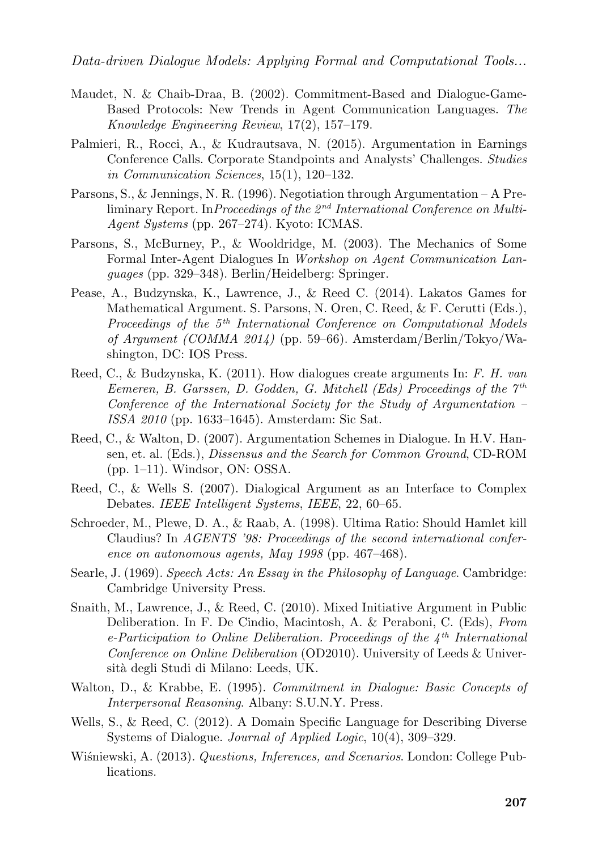- Maudet, N. & Chaib-Draa, B. (2002). Commitment-Based and Dialogue-Game-Based Protocols: New Trends in Agent Communication Languages. *The Knowledge Engineering Review*, 17(2), 157–179.
- Palmieri, R., Rocci, A., & Kudrautsava, N. (2015). Argumentation in Earnings Conference Calls. Corporate Standpoints and Analysts' Challenges. *Studies in Communication Sciences*, 15(1), 120–132.
- Parsons, S., & Jennings, N. R. (1996). Negotiation through Argumentation A Preliminary Report. In*Proceedings of the 2nd International Conference on Multi-Agent Systems* (pp. 267–274). Kyoto: ICMAS.
- Parsons, S., McBurney, P., & Wooldridge, M. (2003). The Mechanics of Some Formal Inter-Agent Dialogues In *Workshop on Agent Communication Languages* (pp. 329–348). Berlin/Heidelberg: Springer.
- Pease, A., Budzynska, K., Lawrence, J., & Reed C. (2014). Lakatos Games for Mathematical Argument. S. Parsons, N. Oren, C. Reed, & F. Cerutti (Eds.), *Proceedings of the 5th International Conference on Computational Models of Argument (COMMA 2014)* (pp. 59–66). Amsterdam/Berlin/Tokyo/Washington, DC: IOS Press.
- Reed, C., & Budzynska, K. (2011). How dialogues create arguments In: *F. H. van Eemeren, B. Garssen, D. Godden, G. Mitchell (Eds) Proceedings of the 7th Conference of the International Society for the Study of Argumentation – ISSA 2010* (pp. 1633–1645). Amsterdam: Sic Sat.
- Reed, C., & Walton, D. (2007). Argumentation Schemes in Dialogue. In H.V. Hansen, et. al. (Eds.), *Dissensus and the Search for Common Ground*, CD-ROM (pp. 1–11). Windsor, ON: OSSA.
- Reed, C., & Wells S. (2007). Dialogical Argument as an Interface to Complex Debates. *IEEE Intelligent Systems*, *IEEE*, 22, 60–65.
- Schroeder, M., Plewe, D. A., & Raab, A. (1998). Ultima Ratio: Should Hamlet kill Claudius? In *AGENTS '98: Proceedings of the second international conference on autonomous agents, May 1998* (pp. 467–468).
- Searle, J. (1969). *Speech Acts: An Essay in the Philosophy of Language*. Cambridge: Cambridge University Press.
- Snaith, M., Lawrence, J., & Reed, C. (2010). Mixed Initiative Argument in Public Deliberation. In F. De Cindio, Macintosh, A. & Peraboni, C. (Eds), *From e-Participation to Online Deliberation. Proceedings of the 4th International Conference on Online Deliberation* (OD2010). University of Leeds & Università degli Studi di Milano: Leeds, UK.
- Walton, D., & Krabbe, E. (1995). *Commitment in Dialogue: Basic Concepts of Interpersonal Reasoning*. Albany: S.U.N.Y. Press.
- Wells, S., & Reed, C. (2012). A Domain Specific Language for Describing Diverse Systems of Dialogue. *Journal of Applied Logic*, 10(4), 309–329.
- Wiśniewski, A. (2013). *Questions, Inferences, and Scenarios*. London: College Publications.